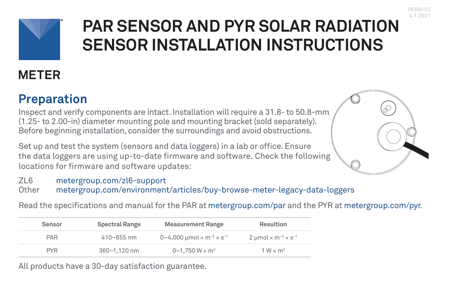

# **PAR SENSOR AND PYR SOLAR RADIATION SENSOR INSTALLATION INSTRUCTIONS**

## **METER**

### **Preparation**

Inspect and verify components are intact. Installation will require a 31.8- to 50.8-mm (1.25- to 2.00-in) diameter mounting pole and mounting bracket (sold separately). Before beginning installation, consider the surroundings and avoid obstructions.

Set up and test the system (sensors and data loggers) in a lab or office. Ensure the data loggers are using up-to-date firmware and software. Check the following locations for firmware and software updates:



Read the specifications and manual for the PAR at [metergroup.com/par](https://www.metergroup.com/par) and the PYR at [metergroup.com/pyr](https://www.metergroup.com/pyr).

| Sensor     | Spectral Range | <b>Measurement Range</b>                                            | Resultion                                                |
|------------|----------------|---------------------------------------------------------------------|----------------------------------------------------------|
| PAR        | $410 - 655$ nm | 0-4,000 $\mu$ mol $\times$ m <sup>-2</sup> $\times$ s <sup>-1</sup> | 2 µmol $\times$ m <sup>-2</sup> $\times$ s <sup>-1</sup> |
| <b>PYR</b> | 360-1.120 nm   | 0-1.750 W $\times$ m <sup>2</sup>                                   | $1 W \times m^2$                                         |

All products have a 30-day satisfaction guarantee.